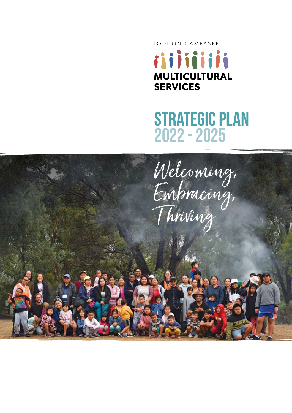LODDON CAMPASPE iiiiiiiiii **MULTICULTURAL SERVICES** 

## STRATEGIC PLAN 2022 - 2025

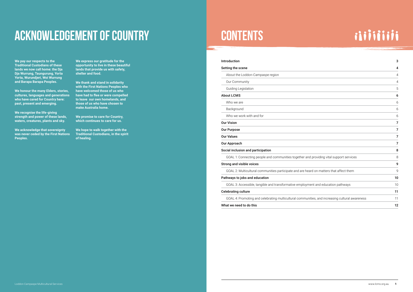| Introduction                                                                            | 3  |
|-----------------------------------------------------------------------------------------|----|
| Setting the scene                                                                       | 4  |
| About the Loddon-Campaspe region                                                        | 4  |
| Our Community                                                                           | 4  |
| Guiding Legislation                                                                     | 5  |
| <b>About LCMS</b>                                                                       | 6  |
| Who we are                                                                              | 6  |
| Background                                                                              | 6  |
| Who we work with and for                                                                | 6  |
| <b>Our Vision</b>                                                                       | 7  |
| <b>Our Purpose</b>                                                                      | 7  |
| <b>Our Values</b>                                                                       | 7  |
| <b>Our Approach</b>                                                                     | 7  |
| Social inclusion and participation                                                      | 8  |
| GOAL 1: Connecting people and communities together and providing vital support services | 8  |
| <b>Strong and visible voices</b>                                                        | g  |
| GOAL 2: Multicultural communities participate and are heard on matters that affect them | g  |
| Pathways to jobs and education                                                          | 10 |
| GOAL 3: Accessible, tangible and transformative employment and education pathways       | 10 |

Celebrating culture

GOAL 4: Promoting and celebrating multicultural communities

What we need to do this

# Acknowledgement of Country

**We pay our respects to the Traditional Custodians of these lands we now call home: the Dja Dja Wurrung, Taungurung, Yorta Yorta, Wurundjeri, Woi Wurrung and Barapa Barapa Peoples.**

# iiiiiiiiii

|                                       | J              |
|---------------------------------------|----------------|
|                                       | 4              |
|                                       | $\overline{4}$ |
|                                       | $\overline{4}$ |
|                                       | 5              |
|                                       | 6              |
|                                       | 6              |
|                                       | 6              |
|                                       | 6              |
|                                       | 7              |
|                                       | 7              |
|                                       | 7              |
|                                       | 7              |
|                                       | 8              |
| providing vital support services      | 8              |
|                                       | 9              |
| I on matters that affect them         | 9              |
|                                       | 10             |
| nt and education pathways             | 10             |
|                                       | 11             |
| es, and increasing cultural awareness | 11             |
|                                       | 12             |

**We honour the many Elders, stories, cultures, languages and generations who have cared for Country here: past, present and emerging.** 

**We recognise the life-giving strength and power of these lands, waters, creatures, plants and sky.** 

**We acknowledge that sovereignty was never ceded by the First Nations Peoples.** 

**We express our gratitude for the opportunity to live in these beautiful lands that provide us with safety, shelter and food.** 

**We thank and stand in solidarity with the First Nations Peoples who have welcomed those of us who have had to flee or were compelled to leave our own homelands, and those of us who have chosen to make Australia home.** 

**We promise to care for Country, which continues to care for us.** 

**We hope to walk together with the Traditional Custodians, in the spirit of healing.**

# **CONTENTS**

<u>and</u>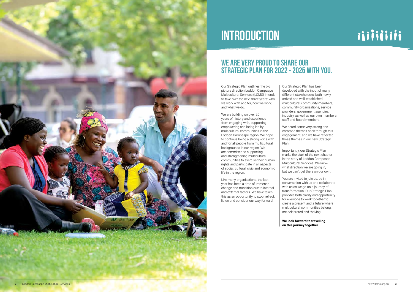

# INTRODUCTION

### WE ARE VERY PROUD TO SHARE OUR Strategic Plan for 2022 - 2025 with you.

Our Strategic Plan outlines the big picture direction Loddon Campaspe Multicultural Services (LCMS) intends to take over the next three years: who we work with and for, how we work, and what we do.

We are building on over 20 years of history and experience from engaging with, supporting, empowering and being led by multicultural communities in the Loddon Campaspe region. We hope to continue being a strong voice with and for all people from multicultural backgrounds in our region. We are committed to supporting and strengthening multicultural communities to exercise their human rights and participate in all aspects of social, cultural, civic and economic life in the region.

Like many organisations, the last year has been a time of immense change and transition due to internal and external factors. We have taken this as an opportunity to stop, reflect, listen and consider our way forward.

Our Strategic Plan has been developed with the input of many different stakeholders: both newly arrived and well-established multicultural community members, community organisations, service providers, government agencies, industry, as well as our own members, staff and Board members.

We heard some very strong and common themes back through this engagement, and we have reflected those themes in our new Strategic Plan.

Importantly, our Strategic Plan marks the start of the next chapter in the story of Loddon Campaspe Multicultural Services. We know what direction we are going in, but we can't get there on our own.

You are invited to join us, be in conversation with us and collaborate with us as we go on a journey of transformation. Our Strategic Plan provides both clarity and opportunity for everyone to work together to create a present and a future where multicultural communities belong, are celebrated and thriving.

**We look forward to travelling on this journey together.**

# iiiiiiiiii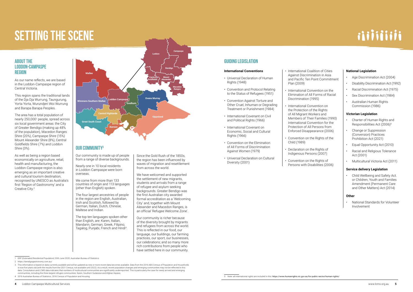# SETTING THE SCENE

### ABOUT THE LODDON-CAMPASPE REGION

As our name reflects, we are based in the Loddon-Campaspe region of Central Victoria.

This region spans the traditional lands of the Dja Dja Wurrung, Taungurung, Yorta Yorta, Wurundjeri Woi Wurrung and Barapa Barapa Peoples.

The area has a total population of nearly 250,0001 people, spread across six local government areas: the City of Greater Bendigo (making up 48% of the population), Macedon Ranges Shire (20%), Campaspe Shire (15%) Mount Alexander Shire (8%), Central Goldfields Shire (7%) and Loddon Shire (3%).

As well as being a region based economically on agriculture, retail, health and manufacturing, the Loddon-Campaspe region is also emerging as an important creative and cultural tourism destination, recognised by UNESCO as Australia's first 'Region of Gastronomy' and a Creative City.2

- 1 ERP (Estimated Residential Population) 30th June 2020, Australian Bureau of Statistics
- 2 https://bendigogastronomy.com.au/

The top ten languages spoken other than English, are: Karen, Italian, Mandarin, German, Greek, Filipino, Tagalog, Punjabi, French and Hindi<sup>4</sup>.

3 This information is based on data currently available and will be updated as new or more recent data becomes available. Data from the 2016 ABS Census of Population and Households is now five years old (with the results from the 2021 Census, not available until 2022). As a result, recent population changes and emerging communities may not be reflected in this data. Consultation and LCMS data indicates that numbers of multicultural communities are significantly underreported. This is particularly the case for newly arrived and emerging communities, including the three largest refugee communities: Karen, Southern Sudanese and Afghan Hazara.

4 2016 Australian Bureau of Statistics, 2016 Census of Population and Housing

Our community is made up of people from a range of diverse backgrounds.

Nearly one in 10 local residents in Loddon-Campaspe were born overseas.

We come from more than 133 countries of origin and 113 languages (other than English) spoken.

The four largest ancestries of people in the region are English, Australian, Irish and Scottish, followed by German, Italian, Dutch, Chinese, Maltese and Indian.

Since the Gold Rush of the 1850s, the region has been influenced by waves of migration and resettlement from across the world.

We have welcomed and supported the settlement of new migrants, students and arrivals from a range of refugee and asylum seeking backgrounds. Greater Bendigo was the first Australian city awarded formal accreditation as a 'Welcoming City' and, together with Mount Alexander and Macedon Ranges, is an official 'Refugee Welcome Zone'.

Our community is richer because of the diversity brought by migrants and refugees from across the world. This is reflected in our food, our language, our buildings, our farming practices, our sport, our businesses, our celebrations; and so many more rich contributions from people who have settled here in our community.



### **OUR COMMUNITY3**

### GUIDING LEGISLATION

5 Note: all international rights are included in this: https://www.humanrights.vic.gov.au/for-public-sector/human-rights/

# iiiiiiiiii

#### **International Conventions**

- Universal Declaration of Human Rights (1948)
- Convention and Protocol Relating to the Status of Refugees (1951)
- Convention Against Torture and Other Cruel, Inhuman or Degrading Treatment or Punishment (1984)
- International Covenant on Civil and Political Rights (1966)
- International Covenant on Economic, Social and Cultural Rights (1966)
- Convention on the Elimination of All Forms of Discrimination Against Women (1979)
- Universal Declaration on Cultural Diversity (2001)

• International Coalition of Cities Against Discrimination in Asia Plan (2009)

and Pacific Ten Point Commitment

- International Convention on the Elimination of All Forms of Racial Discrimination (1995)
- International Convention on the Protection of the Rights of All Migrant Workers and Members of Their Families (1990) International Convention for the Protection of All Persons from Enforced Disappearance (2006)
- Convention on the Rights of the Child (1989)
- Declaration on the Rights of Indigenous Persons (2007)
- Convention on the Rights of Persons with Disabilities (2006)

#### **National Legislation**

- Age Discrimination Act (2004)
- Disability Discrimination Act (1992)
- Racial Discrimination Act (1975)
- Sex Discrimination Act (1984)
- Australian Human Rights Commission (1986)

#### **Victorian Legislation**

- Charter of Human Rights and Responsibilities Act (2006)<sup>5</sup>
- Change or Suppression (Conversion) Practices Prohibition Act (2021)
- Equal Opportunity Act (2010)
- Racial and Religious Tolerance Act (2001)
- Multicultural Victoria Act (2011)

#### **Service delivery Legislation**

• Child Wellbeing and Safety Act. or Children, Youth and Families Amendment (Permanent Care and Other Matters) Act (2014)

#### **Other**

• National Standards for Volunteer Involvement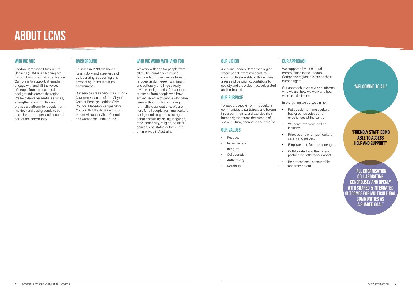### WHO WE ARE

Loddon Campaspe Multicultural Services (LCMS) is a leading not for profit multicultural organisation. Our role is to support, strengthen, engage with and lift the voices of people from multicultural backgrounds across the region. We help deliver essential services. strengthen communities and provide a platform for people from multicultural backgrounds to be seen, heard, prosper, and become part of the community.

### BACKGROUND

Founded in 1999, we have a long history and experience of collaborating, supporting and advocating for multicultural communities.

Our service area spans the six Local Government areas of: the City of Greater Bendigo, Loddon Shire Council, Macedon Ranges Shire Council, Goldfields Shire Council, Mount Alexander Shire Council and Campaspe Shire Council.

### WHO WE WORK WITH AND FOR

We support all multicultural communities in the Loddon-Campaspe region to exercise their human rights.

We work with and for people from all multicultural backgrounds. Our reach includes people from refugee, asylum-seeking, migrant and culturally and linguistically diverse backgrounds. Our support stretches from people who have arrived recently to people who have been in this country or the region for multiple generations. We are here for all people from multicultural backgrounds regardless of age, gender, sexuality, ability, language, race, nationality, religion, political opinion, visa status or the length of time lived in Australia.

# ABOUT LCMS

### "Welcoming to all"

"All organisation **COLLABORATING** generously and openly with shared & integrated outcomes for multicultural communities as a shared goal"

### "Friendly staff, being able to access help and support"

### OUR VISION

A vibrant Loddon Campaspe region where people from multicultural communities are able to thrive, have a sense of belonging, contribute to society and are welcomed, celebrated and embraced.

#### OUR PURPOSE

To support people from multicultural communities to participate and belong in our community, and exercise their human rights across the breadth of social, cultural, economic and civic life.

### OUR VALUES

- Respect
- Inclusiveness
- Integrity
- Collaboration
- **Authenticity**
- Reliability

### OUR APPROACH

Our approach in what we do informs: who we are, how we work and how we make decisions.

In everything we do, we aim to:

• Practice and champion cultural

- Put people from multicultural backgrounds voices and experiences at the centre
- Welcome everyone and be inclusive
- safety and respect
	-
- Collaborate, be authentic and partner with others for impact
- Be professional, accountable and transparent

• Empower and focus on strengths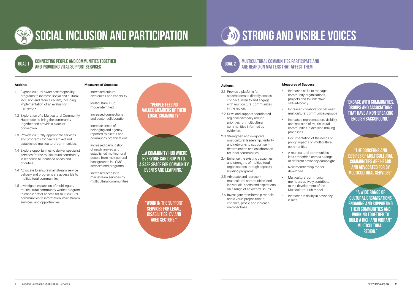

# Social inclusion and participation

### Connecting people and communities together and providing vital support services

## GOAL 1

### "People feeling valued members of their local community"

"Work in the support services for legal, disabilities, DV and aged sectors."

#### **Actions:**

- 1.1 Expand cultural awareness/capability programs to increase social and cultural inclusion and reduce racism, including implementation of an evaluation framework.
- 1.2 Exploration of a Multicultural Community Hub model to bring the community together and provide a place of connection.
- 1.3 Provide culturally-appropriate services and programs for newly arrived and established multicultural communities.
- 1.4 Explore opportunities to deliver specialist services for the multicultural community in response to identified needs and priorities.
- 1.4 Advocate to ensure mainstream service delivery and programs are accessible to multicultural communities.
- 1.5 Investigate expansion of multilingual/ multicultural community worker program to enable better access for multicultural communities to information, mainstream services, and opportunities.

### **Measures of Success:**

- Increased cultural awareness and capability
- Multicultural Hub model identified
- Increased connections and sector collaboration
- Increase sense of belonging and agency reported by clients and community organisations
- Increased participation of newly arrived and established multicultural people from multicultural backgrounds in LCMS services and programs
- Increased access to mainstream services by multicultural communities

"...a community hub where everyone can drop in to. A safe space for community events and learning."

# Strong and visible voices

#### **Actions:**

- 2.1 Provide a platform for stakeholders to directly access, connect, listen to and engage with multicultural communities in the region.
- 2.2 Drive and support coordinated regional advocacy around priorities for multicultural communities informed by evidence.
- 2.3 Strengthen and invigorate multicultural leadership, visibility and networks to support selfdetermination and collaboration for local communities.
- 2.4 Enhance the existing capacities and strengths of multicultural organisations through capacity building programs.
- 2.5 Advocate and represent multicultural communities' and individuals' needs and aspirations on a range of advocacy issues.
- 2.6 Investigate membership models and a value proposition to enhance, profile and increase member base.

#### Multicultural communities participate and are heard on matters that affect them GOAL 2

### **Measures of Success:**

- 
- Increased collaboration between multicultural communities/groups
	-
	-
	-
	-
- Increased skills to manage community organisations, projects and to undertake self-advocacy
	-
	- Increased representation, visibility and inclusion of multicultural communities in decision making processes
	- Documentation of the needs or policy impacts on multicultural communities
	- A multicultural communities' lens embedded across a range of different advocacy campaigns
	- New membership model developed
	- Multicultural community members actively contribute to the development of the Multicultural Hub model
	- Increased visibility in advocacy issues

"Engage with communities, groups and associations that have a non-speaking English background."

"A wide range of cultural organisations engaging and supporting their communities and working together to build a rich and vibrant **MULTICULTURAL** region."

"The concerns and desires of multicultural communities are heard and advocated for by Multicultural Services"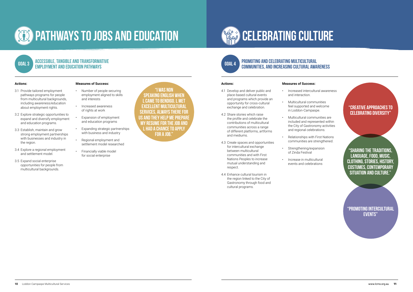

# **CEO PATHWAYS TO JOBS AND EDUCATION**

# **CELEBRATING CULTURE**

### Accessible, tangible and transformative employment and education pathways

#### **Actions:**

- 3.1 Provide tailored employment pathways programs for people from multicultural backgrounds. including awareness/education about employment rights.
- 3.2 Explore strategic opportunities to expand and diversify employment and education programs.
- 3.3 Establish, maintain and grow strong employment partnerships with businesses and industry in the region.
- 3.4 Explore a regional employment and settlement model.
- 3.5 Expand social enterprise opportunities for people from multicultural backgrounds.

#### **Measures of Success:**

- Number of people securing employment aligned to skills and interests
- Increased awareness of rights at work
- Expansion of employment and education programs
- Expanding strategic partnerships with business and industry
- Regional employment and settlement model researched
- Financially viable model for social enterprise

GOAL 3

"I was non speaking English when l came to Bendigo. l met excellent multicultural services, always there for us and they help me prepare my resume for the job and l had a chance to apply for a job."

> "Promoting intercultural **EVENTS**"

### **Actions:**

- 4.1 Develop and deliver public and place-based cultural events and programs which provide an opportunity for cross-cultural exchange and celebration.
- 4.2 Share stories which raise the profile and celebrate the contributions of multicultural communities across a range of different platforms, artforms and mediums.
- 4.3 Create spaces and opportunities for intercultural exchange between multicultural communities and with First Nations Peoples to increase mutual understanding and respect.
- 4.4 Enhance cultural tourism in the region linked to the City of Gastronomy through food and cultural programs.

#### Promoting and celebrating multicultural communities, and increasing cultural awareness GOAL 4

#### **Measures of Success:**

and interaction.

- Increased intercultural awareness
- Multicultural communities feel supported and welcome
	- the City of Gastronomy activities and regional celebrations.
		-
		-
- - in Loddon-Campaspe. • Multicultural communities are included and represented within
		- Relationships with First Nations communities are strengthened.
		- Strengthening/expansion of Zinda Festival
		- Increase in multicultural events and celebrations

### "Creative approaches to celebrating diversity"

"Sharing the traditions, language, food, music, clothing, stories, history, costumes, contemporary situation and culture."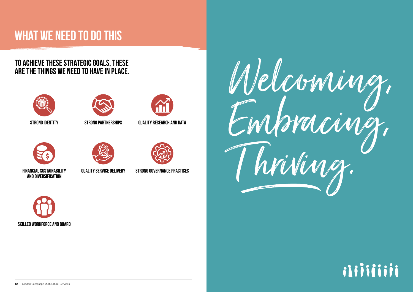# WHAT WE NEED TO DO THIS

# TO ACHIEVE THESE STRATEGIC GOALS, THESE ARE THE THINGS WE NEED TO HAVE IN PLACE.













QUALITY SERVICE DELIVERY STRONG GOVERNANCE PRACTICES

Welcoming, Embracing, Winner





# iiiiiiiiii